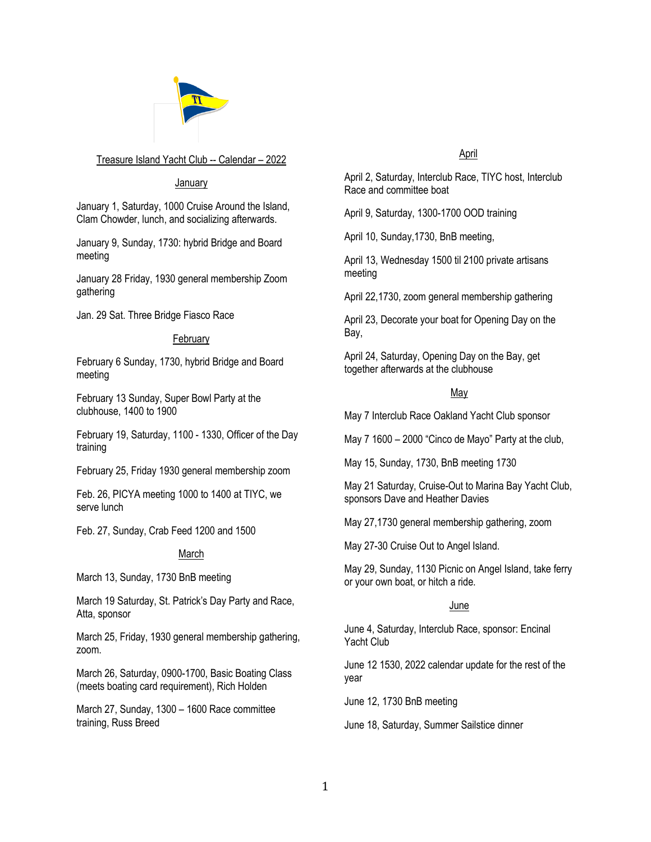

## Treasure Island Yacht Club -- Calendar – 2022

## January

January 1, Saturday, 1000 Cruise Around the Island, Clam Chowder, lunch, and socializing afterwards.

January 9, Sunday, 1730: hybrid Bridge and Board meeting

January 28 Friday, 1930 general membership Zoom gathering

Jan. 29 Sat. Three Bridge Fiasco Race

## February

February 6 Sunday, 1730, hybrid Bridge and Board meeting

February 13 Sunday, Super Bowl Party at the clubhouse, 1400 to 1900

February 19, Saturday, 1100 - 1330, Officer of the Day training

February 25, Friday 1930 general membership zoom

Feb. 26, PICYA meeting 1000 to 1400 at TIYC, we serve lunch

Feb. 27, Sunday, Crab Feed 1200 and 1500

## March

March 13, Sunday, 1730 BnB meeting

March 19 Saturday, St. Patrick's Day Party and Race, Atta, sponsor

March 25, Friday, 1930 general membership gathering, zoom.

March 26, Saturday, 0900-1700, Basic Boating Class (meets boating card requirement), Rich Holden

March 27, Sunday, 1300 – 1600 Race committee training, Russ Breed

# April

April 2, Saturday, Interclub Race, TIYC host, Interclub Race and committee boat

April 9, Saturday, 1300-1700 OOD training

April 10, Sunday,1730, BnB meeting,

April 13, Wednesday 1500 til 2100 private artisans meeting

April 22,1730, zoom general membership gathering

April 23, Decorate your boat for Opening Day on the Bay,

April 24, Saturday, Opening Day on the Bay, get together afterwards at the clubhouse

# May

May 7 Interclub Race Oakland Yacht Club sponsor

May 7 1600 – 2000 "Cinco de Mayo" Party at the club,

May 15, Sunday, 1730, BnB meeting 1730

May 21 Saturday, Cruise-Out to Marina Bay Yacht Club, sponsors Dave and Heather Davies

May 27,1730 general membership gathering, zoom

May 27-30 Cruise Out to Angel Island.

May 29, Sunday, 1130 Picnic on Angel Island, take ferry or your own boat, or hitch a ride.

## June

June 4, Saturday, Interclub Race, sponsor: Encinal Yacht Club

June 12 1530, 2022 calendar update for the rest of the year

June 12, 1730 BnB meeting

June 18, Saturday, Summer Sailstice dinner